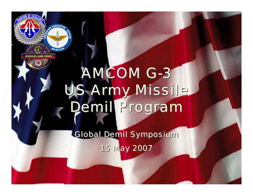

## AMCOM G-3 AMCOM G-3 US Army Missile US Army Missile Demil Program Demil Program

Global Demil Symposium Global Demil Symposium 15 May 2007 15 May 2007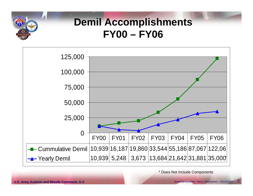

## **Demil Accomplishments FY00 – FY06**



\* Does Not Include Components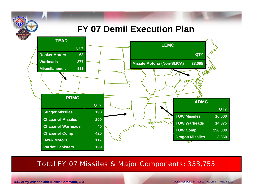### **FY 07 Demil Execution Plan**



#### Total FY 07 Missiles & Major Components: 353,755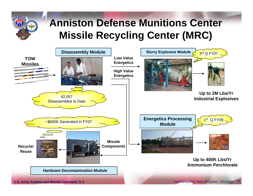

## **Anniston Defense Munitions Center Missile Recycling Center (MRC)**

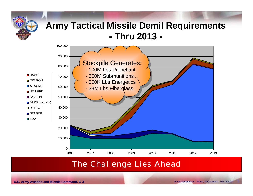

## **Army Tactical Missile Demil Requirements - Thru 2013 -**



#### The Challenge Lies Ahead

**U.S. Army Aviation and Missile Command, G-3** Demil Symposium - Reno, NV(Gunter) – 05/15/2007 5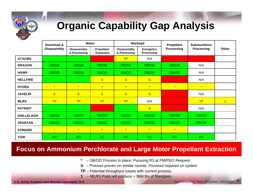

## **Organic Capability Gap Analysis**

|                   | Download &<br><b>Disassembly</b> | <b>Motor</b>                       |                                 | Warhead                            |                                 | Propellant        | <b>Submunitions</b> |              |
|-------------------|----------------------------------|------------------------------------|---------------------------------|------------------------------------|---------------------------------|-------------------|---------------------|--------------|
|                   |                                  | <b>Disassembly</b><br>& Processing | Propellant<br><b>Extraction</b> | <b>Disassembly</b><br>& Processing | <b>Energetics</b><br>Processing | <b>Processing</b> | Processing          | Other        |
| <b>ATACMS</b>     |                                  |                                    |                                 | TP                                 | N/A                             |                   |                     |              |
| <b>DRAGON</b>     | OB/OD                            | OB/OD                              | OB/OD                           | OB/OD                              | OB/OD                           | OB/OD             | N/A                 |              |
| <b>HAWK</b>       | OB/OD                            | OB/OD                              | OB/OD                           | OB/OD                              | OB/OD                           | OB/OD             | N/A                 |              |
| <b>HELLFIRE</b>   |                                  |                                    | S                               | S                                  | $\mathbf{s}$                    |                   | N/A                 |              |
| <b>HYDRA</b>      | $\star$                          | $\star$                            | $\star$                         | $\star$                            | $\star$                         | $\star$           | $\star$             |              |
| <b>JAVELIN</b>    | S                                | S                                  | S                               | S                                  | $\overline{\mathbf{s}}$         |                   | N/A                 |              |
| <b>MLRS</b>       | <b>TP</b>                        | <b>TP</b>                          | <b>TP</b>                       | <b>TP</b>                          | N/A                             |                   | <b>TP</b>           | $\mathbf{1}$ |
| <b>PATRIOT</b>    |                                  |                                    |                                 |                                    | $\overline{\mathbf{s}}$         |                   | N/A                 |              |
| <b>SHILLELAGH</b> | OB/OD                            | OB/OD                              | OB/OD                           | OB/OD                              | OB/OD                           | OB/OD             | OB/OD               |              |
| <b>SPARTAN</b>    | OB/OD                            | OB/OD                              | OB/OD                           | OB/OD                              | OB/OD                           | OB/OD             | OB/OD               |              |
| <b>STINGER</b>    | $\star$                          | $\star$                            | $\star$                         | $\star$                            | $\star$                         | $\star$           |                     |              |
| <b>TOW</b>        | R3                               | R3                                 | R3                              | R3                                 | R <sub>3</sub>                  | R3                | R3                  |              |

#### **Focus on Ammonium Perchlorate and Large Motor Propellant Extraction**

- **\***– OB/OD Process in place; Pursuing R3 at PM/PEO Request
- **S** Process proven on similar rounds; Proveout required on system
- **TP** Potential throughput issues with current process
- **1**– MLRS Pods will produce ~ 36M lbs of fiberglass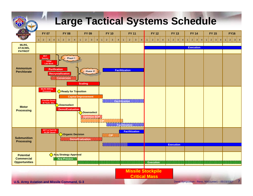## **Large Tactical Systems Schedule**



**U.S. Army Aviation and Missile Command, G-3** Demil Symposium - Reno, NV(Gunter) – 05/15/2007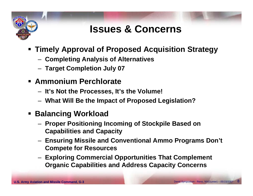

## **Issues & Concerns**

- **Timely Approval of Proposed Acquisition Strategy**
	- –**Completing Analysis of Alternatives**
	- –**Target Completion July 07**
- **Ammonium Perchlorate**
	- –**It's Not the Processes, It's the Volume!**
	- –**What Will Be the Impact of Proposed Legislation?**
- **Balancing Workload**
	- – **Proper Positioning Incoming of Stockpile Based on Capabilities and Capacity**
	- – **Ensuring Missile and Conventional Ammo Programs Don't Compete for Resources**
	- – **Exploring Commercial Opportunities That Complement Organic Capabilities and Address Capacity Concerns**